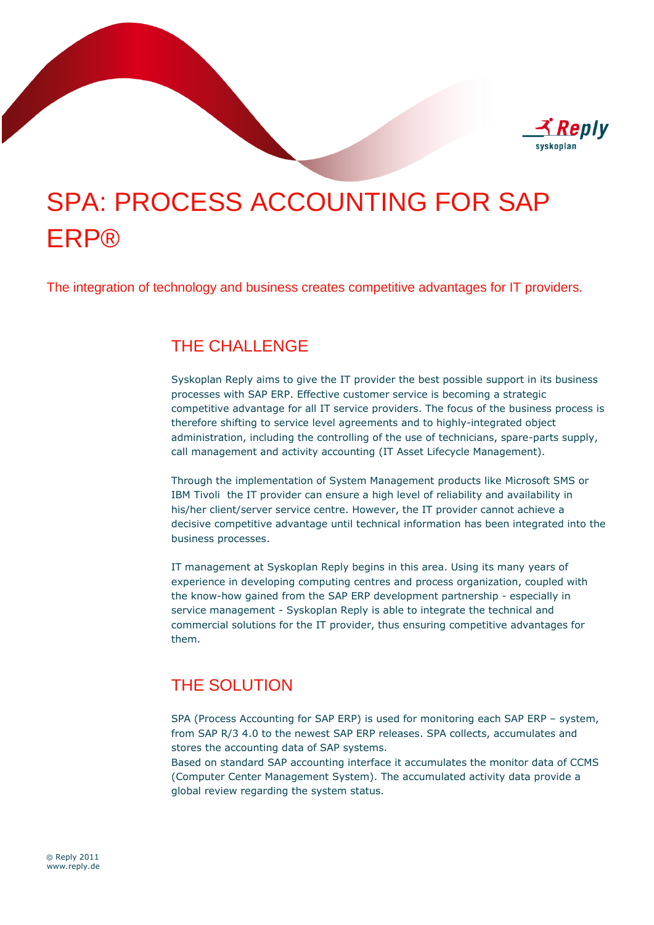

# SPA: PROCESS ACCOUNTING FOR SAP ERP®

The integration of technology and business creates competitive advantages for IT providers.

## THE CHALLENGE

Syskoplan Reply aims to give the IT provider the best possible support in its business processes with SAP ERP. Effective customer service is becoming a strategic competitive advantage for all IT service providers. The focus of the business process is therefore shifting to service level agreements and to highly-integrated object administration, including the controlling of the use of technicians, spare-parts supply, call management and activity accounting (IT Asset Lifecycle Management).

Through the implementation of System Management products like Microsoft SMS or IBM Tivoli the IT provider can ensure a high level of reliability and availability in his/her client/server service centre. However, the IT provider cannot achieve a decisive competitive advantage until technical information has been integrated into the business processes.

IT management at Syskoplan Reply begins in this area. Using its many years of experience in developing computing centres and process organization, coupled with the know-how gained from the SAP ERP development partnership - especially in service management - Syskoplan Reply is able to integrate the technical and commercial solutions for the IT provider, thus ensuring competitive advantages for them.

## THE SOLUTION

SPA (Process Accounting for SAP ERP) is used for monitoring each SAP ERP – system, from SAP R/3 4.0 to the newest SAP ERP releases. SPA collects, accumulates and stores the accounting data of SAP systems.

Based on standard SAP accounting interface it accumulates the monitor data of CCMS (Computer Center Management System). The accumulated activity data provide a global review regarding the system status.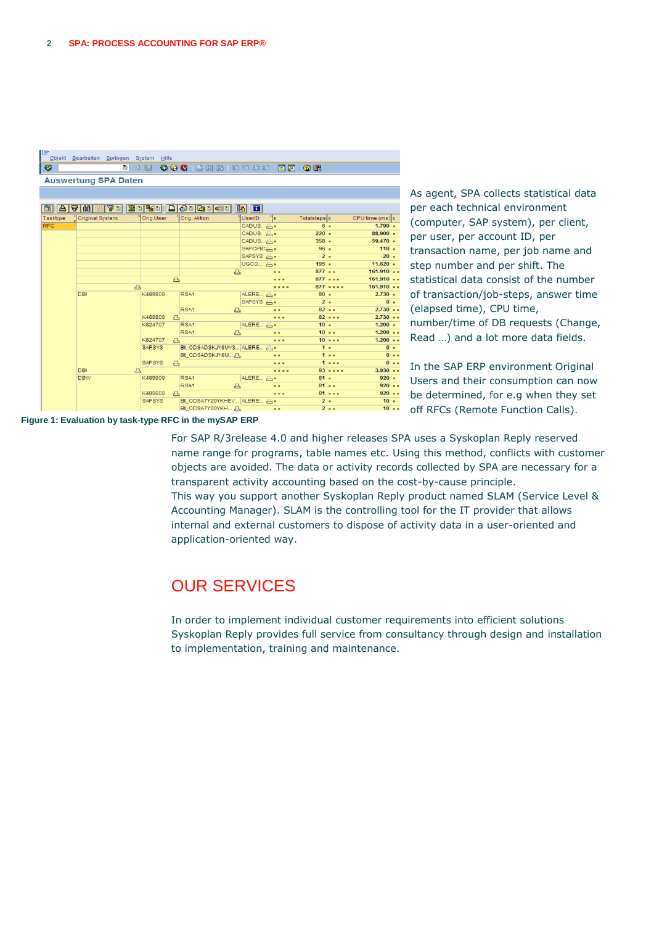| e          | Objekt Bearbeiten Springen System Hilfe |                         |                                                                    |                          |                 |                     |
|------------|-----------------------------------------|-------------------------|--------------------------------------------------------------------|--------------------------|-----------------|---------------------|
| ◙          | ūΙ                                      |                         | 4 8 6 6 6 6 6 7 8 8 8 9 8 9 8 9 8 9 8                              |                          |                 |                     |
|            | <b>Auswertung SPA Daten</b>             |                         |                                                                    |                          |                 |                     |
|            |                                         |                         |                                                                    |                          |                 |                     |
|            |                                         |                         |                                                                    |                          |                 |                     |
|            | 3 4 7 8 8                               |                         | $ {\bf 70}  {\bf 20}  {\bf 80}  {\bf 100}  {\bf 010}  {\bf 100}  $ | $\mathbf{E}$             |                 |                     |
| Tasktype   | <b>Original System</b>                  | Oria.User               | Orig. Aktion                                                       | าืะ<br>UserID            | Totalsteps  E   | $CPU$ time (ms) $x$ |
| <b>RFC</b> |                                         |                         |                                                                    | CADUS 凸 -                | $6 -$           | $1.790$ =           |
|            |                                         |                         |                                                                    | CADUS 凸 -                | $220 -$         | $88.900$ $\cdot$    |
|            |                                         |                         |                                                                    | CADUS 凸 -                | $358 -$         | $59.470$ =          |
|            |                                         |                         |                                                                    | SAPCPIC凸.                | $96 -$          | $110 -$             |
|            |                                         |                         |                                                                    | SAPSYS 凸.                | $2 -$           | $20 -$              |
|            |                                         |                         |                                                                    | $UGCO \nightharpoonup$ - | $195 -$         | $11.620$ =          |
|            |                                         |                         | 凸                                                                  |                          | $877 -$         | 161.910             |
|            |                                         | $\triangle$             |                                                                    |                          | 877             | 161.910             |
|            | 凸                                       |                         |                                                                    |                          | 877             | 161.910             |
|            | <b>DBI</b>                              | K489809                 | RSA1                                                               | ALERE 凸·                 | $80 -$<br>$2 -$ | $2.730 -$<br>$0 -$  |
|            |                                         |                         | RSA1                                                               | SAPSYS A.                | $82 - -$        | $2.730 -$           |
|            |                                         | K489809                 | 凸                                                                  | <br>.                    | $82 - -$        | $2.730 -$           |
|            |                                         | 凸<br>K824707            | RSA <sub>1</sub>                                                   | ALERE 凸 -                | 10.4            | $1.200 -$           |
|            |                                         |                         | RSA1<br>凸                                                          |                          | $10 - 1$        | $1.200 -$           |
|            |                                         | K824707<br>$\mathbf{r}$ |                                                                    |                          | $10 - - -$      | $1.200 -$           |
|            |                                         | <b>SAPSYS</b>           | BI_ODSADSKJY8UV3 ALERE 凸 -                                         |                          | $1 -$           | $0 -$               |
|            |                                         |                         | BI_ODSADSKJY8U 凸                                                   | . .                      | 1.1.1           | $0 -$               |
|            |                                         | <b>SAPSYS</b><br>凸      |                                                                    |                          | 1.1.1           | $0 - 1$             |
|            | <b>DBI</b>                              | 凸                       |                                                                    | .                        | $93 - - - -$    | $3.930 -$           |
|            | <b>DBW</b>                              | K489809                 | RSA1                                                               | ALERE ALERE              | $81 -$          | $920 -$             |
|            |                                         |                         | RSA1<br>凸                                                          |                          | 81              | $920 -$             |
|            |                                         | K489809<br>д            |                                                                    |                          | $81 - -$        | $920 -$             |
|            |                                         | <b>SAPSYS</b>           | BI_ODSA7Y20YKHEV ALERE 凸.                                          |                          | $2 -$           | $10 -$              |
|            |                                         |                         | BI ODSA7Y20YKH 凸                                                   |                          | $2 - 1$         | $10 - 1$            |

As agent, SPA collects statistical data per each technical environment (computer, SAP system), per client, per user, per account ID, per transaction name, per job name and step number and per shift. The statistical data consist of the number of transaction/job-steps, answer time (elapsed time), CPU time, number/time of DB requests (Change, Read …) and a lot more data fields.

In the SAP ERP environment Original Users and their consumption can now be determined, for e.g when they set off RFCs (Remote Function Calls).

**Figure 1: Evaluation by task-type RFC in the mySAP ERP**

For SAP R/3release 4.0 and higher releases SPA uses a Syskoplan Reply reserved name range for programs, table names etc. Using this method, conflicts with customer objects are avoided. The data or activity records collected by SPA are necessary for a transparent activity accounting based on the cost-by-cause principle. This way you support another Syskoplan Reply product named SLAM (Service Level &

Accounting Manager). SLAM is the controlling tool for the IT provider that allows internal and external customers to dispose of activity data in a user-oriented and application-oriented way.

### OUR SERVICES

In order to implement individual customer requirements into efficient solutions Syskoplan Reply provides full service from consultancy through design and installation to implementation, training and maintenance.